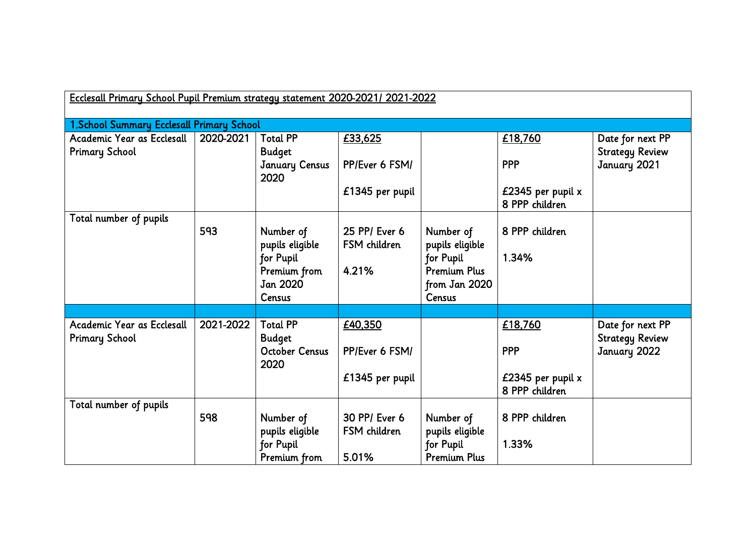| Ecclesall Primary School Pupil Premium strategy statement 2020-2021/2021-2022 |                                            |                                  |                               |                              |                                       |                                            |  |
|-------------------------------------------------------------------------------|--------------------------------------------|----------------------------------|-------------------------------|------------------------------|---------------------------------------|--------------------------------------------|--|
|                                                                               | 1. School Summary Ecclesall Primary School |                                  |                               |                              |                                       |                                            |  |
| Academic Year as Ecclesall<br><b>Primary School</b>                           | 2020-2021                                  | <b>Total PP</b><br><b>Budget</b> | £33,625                       |                              | £18,760                               | Date for next PP<br><b>Strategy Review</b> |  |
|                                                                               |                                            | <b>January Census</b><br>2020    | PP/Ever 6 FSM/                |                              | <b>PPP</b>                            | January 2021                               |  |
|                                                                               |                                            |                                  | £1345 per pupil               |                              | £2345 per pupil $x$<br>8 PPP children |                                            |  |
| Total number of pupils                                                        |                                            |                                  |                               |                              |                                       |                                            |  |
|                                                                               | 593                                        | Number of<br>pupils eligible     | 25 PP/ Ever 6<br>FSM children | Number of<br>pupils eligible | 8 PPP children                        |                                            |  |
|                                                                               |                                            | for Pupil                        |                               | for Pupil                    | 1.34%                                 |                                            |  |
|                                                                               |                                            | Premium from                     | 4.21%                         | <b>Premium Plus</b>          |                                       |                                            |  |
|                                                                               |                                            | <b>Jan 2020</b>                  |                               | from Jan 2020                |                                       |                                            |  |
|                                                                               |                                            | Census                           |                               | Census                       |                                       |                                            |  |
|                                                                               |                                            |                                  |                               |                              |                                       |                                            |  |
| Academic Year as Ecclesall<br><b>Primary School</b>                           | 2021-2022                                  | <b>Total PP</b><br><b>Budget</b> | £40,350                       |                              | £18,760                               | Date for next PP<br><b>Strategy Review</b> |  |
|                                                                               |                                            | <b>October Census</b><br>2020    | PP/Ever 6 FSM/                |                              | <b>PPP</b>                            | January 2022                               |  |
|                                                                               |                                            |                                  | £1345 per pupil               |                              | £2345 per pupil x<br>8 PPP children   |                                            |  |
| Total number of pupils                                                        |                                            |                                  |                               |                              |                                       |                                            |  |
|                                                                               | 598                                        | Number of<br>pupils eligible     | 30 PP/ Ever 6<br>FSM children | Number of<br>pupils eligible | 8 PPP children                        |                                            |  |
|                                                                               |                                            | for Pupil                        |                               | for Pupil                    | 1.33%                                 |                                            |  |
|                                                                               |                                            | Premium from                     | 5.01%                         | <b>Premium Plus</b>          |                                       |                                            |  |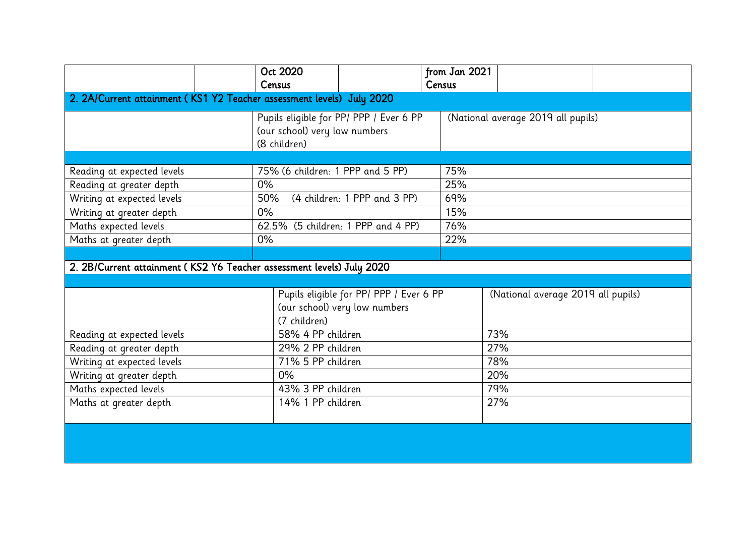|                                                                       | Oct 2020<br>Census                                                                       | from Jan 2021<br>Census            |  |  |  |  |  |
|-----------------------------------------------------------------------|------------------------------------------------------------------------------------------|------------------------------------|--|--|--|--|--|
| 2. 2A/Current attainment (KS1 Y2 Teacher assessment levels) July 2020 |                                                                                          |                                    |  |  |  |  |  |
|                                                                       | Pupils eligible for PP/ PPP / Ever 6 PP<br>(our school) very low numbers<br>(8 children) | (National average 2019 all pupils) |  |  |  |  |  |
|                                                                       |                                                                                          |                                    |  |  |  |  |  |
| Reading at expected levels                                            | 75% (6 children: 1 PPP and 5 PP)                                                         | 75%                                |  |  |  |  |  |
| Reading at greater depth                                              | 0%                                                                                       | 25%                                |  |  |  |  |  |
| Writing at expected levels                                            | (4 children: 1 PPP and 3 PP)<br>50%                                                      | 69%                                |  |  |  |  |  |
| Writing at greater depth                                              | 0%                                                                                       | 15%                                |  |  |  |  |  |
| Maths expected levels                                                 | 62.5% (5 children: 1 PPP and 4 PP)                                                       | 76%                                |  |  |  |  |  |
| Maths at greater depth                                                | $0\%$                                                                                    | 22%                                |  |  |  |  |  |
|                                                                       |                                                                                          |                                    |  |  |  |  |  |
| 2. 2B/Current attainment (KS2 Y6 Teacher assessment levels) July 2020 |                                                                                          |                                    |  |  |  |  |  |
|                                                                       |                                                                                          |                                    |  |  |  |  |  |
|                                                                       | Pupils eligible for PP/ PPP / Ever 6 PP                                                  | (National average 2019 all pupils) |  |  |  |  |  |
|                                                                       | (our school) very low numbers                                                            |                                    |  |  |  |  |  |
|                                                                       | (7 children)                                                                             |                                    |  |  |  |  |  |
| Reading at expected levels                                            | 58% 4 PP children                                                                        | 73%                                |  |  |  |  |  |
| Reading at greater depth                                              | 29% 2 PP children                                                                        | 27%                                |  |  |  |  |  |
| Writing at expected levels                                            | 71% 5 PP children                                                                        | 78%                                |  |  |  |  |  |
| Writing at greater depth                                              | 0%                                                                                       | 20%                                |  |  |  |  |  |
| Maths expected levels                                                 | 43% 3 PP children                                                                        | 79%                                |  |  |  |  |  |
| Maths at greater depth                                                | 14% 1 PP children                                                                        | 27%                                |  |  |  |  |  |
|                                                                       |                                                                                          |                                    |  |  |  |  |  |
|                                                                       |                                                                                          |                                    |  |  |  |  |  |
|                                                                       |                                                                                          |                                    |  |  |  |  |  |
|                                                                       |                                                                                          |                                    |  |  |  |  |  |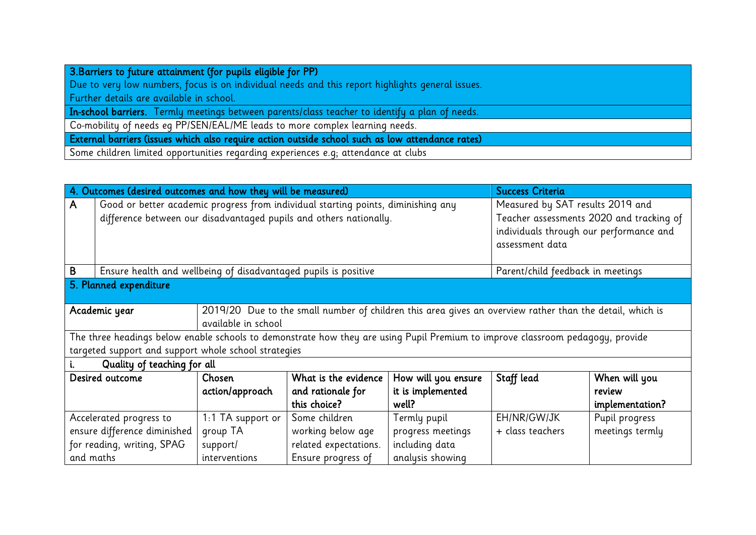| 3. Barriers to future attainment (for pupils eligible for PP)                                    |  |  |  |
|--------------------------------------------------------------------------------------------------|--|--|--|
| Due to very low numbers, focus is on individual needs and this report highlights general issues. |  |  |  |
| Further details are available in school.                                                         |  |  |  |
| In-school barriers. Termly meetings between parents/class teacher to identify a plan of needs.   |  |  |  |
| Co-mobility of needs eg PP/SEN/EAL/ME leads to more complex learning needs.                      |  |  |  |
| External barriers (issues which also require action outside school such as low attendance rates) |  |  |  |
| Some children limited opportunities regarding experiences e.g; attendance at clubs               |  |  |  |

|                             | 4. Outcomes (desired outcomes and how they will be measured)                                                                   |                   |                                                                    |                   |                                         | <b>Success Criteria</b>                  |  |  |
|-----------------------------|--------------------------------------------------------------------------------------------------------------------------------|-------------------|--------------------------------------------------------------------|-------------------|-----------------------------------------|------------------------------------------|--|--|
| A.                          | Good or better academic progress from individual starting points, diminishing any                                              |                   | Measured by SAT results 2019 and                                   |                   |                                         |                                          |  |  |
|                             |                                                                                                                                |                   | difference between our disadvantaged pupils and others nationally. |                   |                                         | Teacher assessments 2020 and tracking of |  |  |
|                             |                                                                                                                                |                   |                                                                    |                   | individuals through our performance and |                                          |  |  |
|                             |                                                                                                                                |                   |                                                                    |                   | assessment data                         |                                          |  |  |
|                             |                                                                                                                                |                   |                                                                    |                   |                                         |                                          |  |  |
| B                           | Ensure health and wellbeing of disadvantaged pupils is positive                                                                |                   |                                                                    |                   | Parent/child feedback in meetings       |                                          |  |  |
|                             | 5. Planned expenditure                                                                                                         |                   |                                                                    |                   |                                         |                                          |  |  |
|                             |                                                                                                                                |                   |                                                                    |                   |                                         |                                          |  |  |
|                             | 2019/20 Due to the small number of children this area gives an overview rather than the detail, which is<br>Academic year      |                   |                                                                    |                   |                                         |                                          |  |  |
|                             | available in school                                                                                                            |                   |                                                                    |                   |                                         |                                          |  |  |
|                             | The three headings below enable schools to demonstrate how they are using Pupil Premium to improve classroom pedagogy, provide |                   |                                                                    |                   |                                         |                                          |  |  |
|                             | targeted support and support whole school strategies                                                                           |                   |                                                                    |                   |                                         |                                          |  |  |
| Quality of teaching for all |                                                                                                                                |                   |                                                                    |                   |                                         |                                          |  |  |
|                             | What is the evidence<br>Desired outcome<br>Chosen                                                                              |                   | How will you ensure                                                | Staff lead        | When will you                           |                                          |  |  |
|                             |                                                                                                                                | action/approach   | and rationale for                                                  | it is implemented |                                         | review                                   |  |  |
|                             |                                                                                                                                |                   | this choice?                                                       | well?             |                                         | implementation?                          |  |  |
|                             | Accelerated progress to                                                                                                        | 1:1 TA support or | Some children                                                      | Termly pupil      | EH/NR/GW/JK                             | Pupil progress                           |  |  |
|                             | ensure difference diminished                                                                                                   | group TA          | working below age<br>progress meetings                             |                   |                                         | meetings termly                          |  |  |
|                             | for reading, writing, SPAG                                                                                                     | support/          | including data<br>related expectations.                            |                   |                                         |                                          |  |  |
| and maths                   |                                                                                                                                | interventions     | Ensure progress of                                                 | analysis showing  |                                         |                                          |  |  |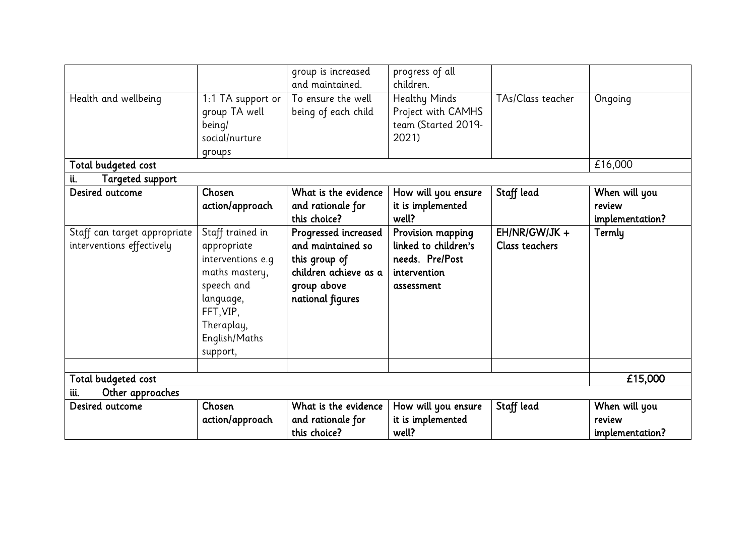|                                                           |                                                                                                                                                           | group is increased<br>and maintained.                                                                                  | progress of all<br>children.                                                               |                                          |                                            |
|-----------------------------------------------------------|-----------------------------------------------------------------------------------------------------------------------------------------------------------|------------------------------------------------------------------------------------------------------------------------|--------------------------------------------------------------------------------------------|------------------------------------------|--------------------------------------------|
| Health and wellbeing                                      | 1:1 TA support or<br>group TA well<br>being/<br>social/nurture<br>groups                                                                                  | To ensure the well<br>being of each child                                                                              | <b>Healthy Minds</b><br>Project with CAMHS<br>team (Started 2019-<br>2021)                 | TAs/Class teacher                        | Ongoing                                    |
| Total budgeted cost                                       |                                                                                                                                                           |                                                                                                                        |                                                                                            |                                          | £16,000                                    |
| <b>Targeted support</b><br>ü.                             |                                                                                                                                                           |                                                                                                                        |                                                                                            |                                          |                                            |
| Desired outcome                                           | Chosen<br>action/approach                                                                                                                                 | What is the evidence<br>and rationale for<br>this choice?                                                              | How will you ensure<br>it is implemented<br>well?                                          | Staff lead                               | When will you<br>review<br>implementation? |
| Staff can target appropriate<br>interventions effectively | Staff trained in<br>appropriate<br>interventions e.g<br>maths mastery,<br>speech and<br>language,<br>FFT, VIP,<br>Theraplay,<br>English/Maths<br>support, | Progressed increased<br>and maintained so<br>this group of<br>children achieve as a<br>group above<br>national figures | Provision mapping<br>linked to children's<br>needs. Pre/Post<br>intervention<br>assessment | $EH/NR/GW/JK +$<br><b>Class teachers</b> | Termly                                     |
|                                                           |                                                                                                                                                           |                                                                                                                        |                                                                                            |                                          |                                            |
| Total budgeted cost                                       |                                                                                                                                                           |                                                                                                                        |                                                                                            |                                          | £15,000                                    |
| Other approaches<br>iii.                                  |                                                                                                                                                           |                                                                                                                        |                                                                                            |                                          |                                            |
| Desired outcome                                           | Chosen<br>action/approach                                                                                                                                 | What is the evidence<br>and rationale for<br>this choice?                                                              | How will you ensure<br>it is implemented<br>well?                                          | Staff lead                               | When will you<br>review<br>implementation? |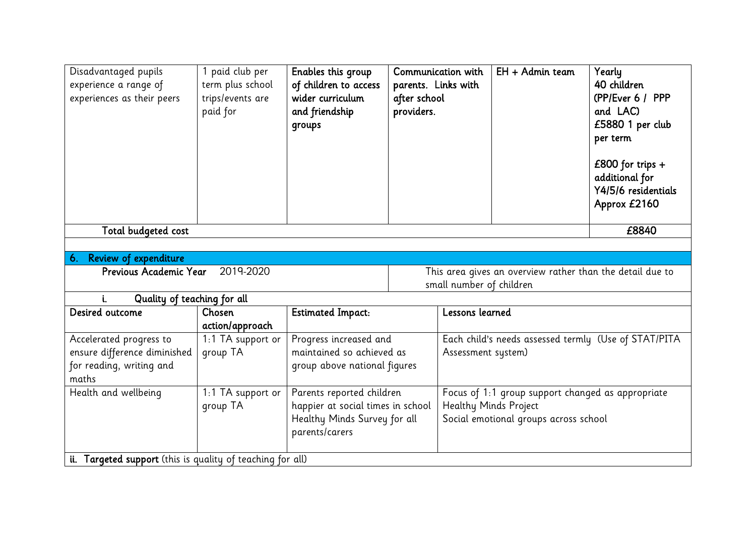| Disadvantaged pupils<br>experience a range of<br>experiences as their peers | paid club per<br>term plus school<br>trips/events are<br>paid for | Enables this group<br>of children to access<br>wider curriculum<br>and friendship<br>groups                      | after school<br>providers.                                                            | Communication with<br>parents. Links with                                                                           | EH + Admin team | Yearly<br>40 children<br>(PP/Ever 6 / PPP<br>and LAC)<br>£5880 1 per club<br>per term<br>£800 for trips $+$<br>additional for<br>Y4/5/6 residentials<br>Approx £2160 |
|-----------------------------------------------------------------------------|-------------------------------------------------------------------|------------------------------------------------------------------------------------------------------------------|---------------------------------------------------------------------------------------|---------------------------------------------------------------------------------------------------------------------|-----------------|----------------------------------------------------------------------------------------------------------------------------------------------------------------------|
| Total budgeted cost                                                         |                                                                   |                                                                                                                  |                                                                                       |                                                                                                                     |                 | £8840                                                                                                                                                                |
|                                                                             |                                                                   |                                                                                                                  |                                                                                       |                                                                                                                     |                 |                                                                                                                                                                      |
| 6. Review of expenditure                                                    |                                                                   |                                                                                                                  |                                                                                       |                                                                                                                     |                 |                                                                                                                                                                      |
| Previous Academic Year                                                      |                                                                   |                                                                                                                  | This area gives an overview rather than the detail due to<br>small number of children |                                                                                                                     |                 |                                                                                                                                                                      |
| Quality of teaching for all<br>i.                                           |                                                                   |                                                                                                                  |                                                                                       |                                                                                                                     |                 |                                                                                                                                                                      |
| Desired outcome                                                             | Chosen<br>action/approach                                         | <b>Estimated Impact:</b>                                                                                         |                                                                                       | Lessons learned                                                                                                     |                 |                                                                                                                                                                      |
| Accelerated progress to                                                     | 1:1 TA support or                                                 | Progress increased and                                                                                           |                                                                                       | Each child's needs assessed termly (Use of STAT/PITA                                                                |                 |                                                                                                                                                                      |
| ensure difference diminished                                                | group TA                                                          | maintained so achieved as                                                                                        |                                                                                       | Assessment system)                                                                                                  |                 |                                                                                                                                                                      |
| for reading, writing and<br>maths                                           |                                                                   | group above national figures                                                                                     |                                                                                       |                                                                                                                     |                 |                                                                                                                                                                      |
| Health and wellbeing                                                        | 1:1 TA support or<br>group TA                                     | Parents reported children<br>happier at social times in school<br>Healthy Minds Survey for all<br>parents/carers |                                                                                       | Focus of 1:1 group support changed as appropriate<br>Healthy Minds Project<br>Social emotional groups across school |                 |                                                                                                                                                                      |
| ii. Targeted support (this is quality of teaching for all)                  |                                                                   |                                                                                                                  |                                                                                       |                                                                                                                     |                 |                                                                                                                                                                      |